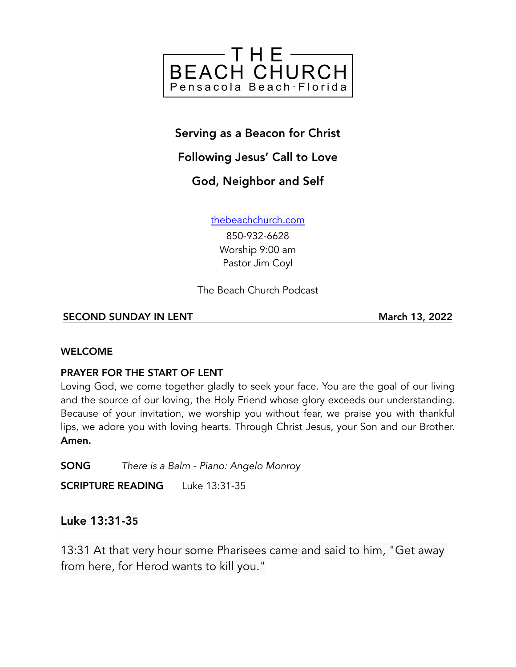

# Serving as a Beacon for Christ

# Following Jesus' Call to Love

# God, Neighbor and Self

[thebeachchurch.com](http://thebeachchurch.com)

850-932-6628 Worship 9:00 am Pastor Jim Coyl

The Beach Church Podcast

#### SECOND SUNDAY IN LENT March 13, 2022

#### WELCOME

## PRAYER FOR THE START OF LENT

Loving God, we come together gladly to seek your face. You are the goal of our living and the source of our loving, the Holy Friend whose glory exceeds our understanding. Because of your invitation, we worship you without fear, we praise you with thankful lips, we adore you with loving hearts. Through Christ Jesus, your Son and our Brother. Amen.

SONG *There is a Balm - Piano: Angelo Monroy*

SCRIPTURE READING Luke 13:31-35

## Luke 13:31-35

13:31 At that very hour some Pharisees came and said to him, "Get away from here, for Herod wants to kill you."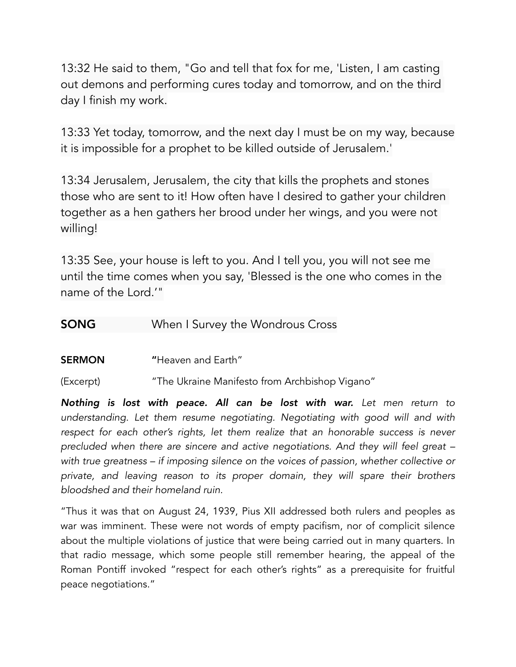13:32 He said to them, "Go and tell that fox for me, 'Listen, I am casting out demons and performing cures today and tomorrow, and on the third day I finish my work.

13:33 Yet today, tomorrow, and the next day I must be on my way, because it is impossible for a prophet to be killed outside of Jerusalem.'

13:34 Jerusalem, Jerusalem, the city that kills the prophets and stones those who are sent to it! How often have I desired to gather your children together as a hen gathers her brood under her wings, and you were not willing!

13:35 See, your house is left to you. And I tell you, you will not see me until the time comes when you say, 'Blessed is the one who comes in the name of the Lord.'"

## **SONG** When I Survey the Wondrous Cross

SERMON "Heaven and Farth"

(Excerpt) "The Ukraine Manifesto from Archbishop Vigano"

*Nothing is lost with peace. All can be lost with war. Let men return to understanding. Let them resume negotiating. Negotiating with good will and with*  respect for each other's rights, let them realize that an honorable success is never *precluded when there are sincere and active negotiations. And they will feel great – with true greatness – if imposing silence on the voices of passion, whether collective or private, and leaving reason to its proper domain, they will spare their brothers bloodshed and their homeland ruin.*

"Thus it was that on August 24, 1939, Pius XII addressed both rulers and peoples as war was imminent. These were not words of empty pacifism, nor of complicit silence about the multiple violations of justice that were being carried out in many quarters. In that radio message, which some people still remember hearing, the appeal of the Roman Pontiff invoked "respect for each other's rights" as a prerequisite for fruitful peace negotiations."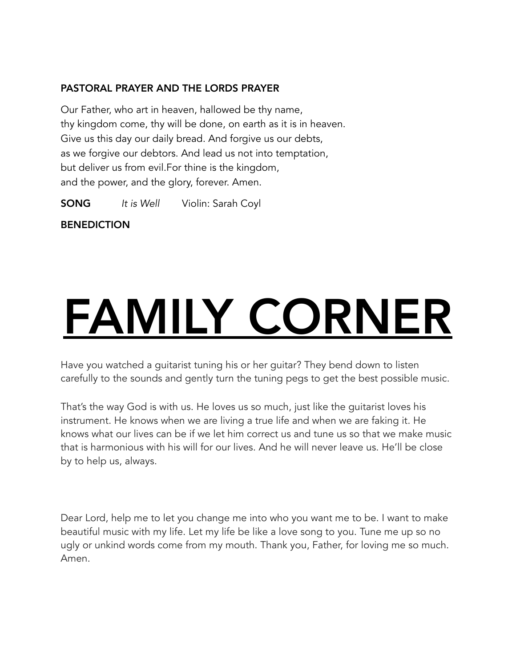#### PASTORAL PRAYER AND THE LORDS PRAYER

Our Father, who art in heaven, hallowed be thy name, thy kingdom come, thy will be done, on earth as it is in heaven. Give us this day our daily bread. And forgive us our debts, as we forgive our debtors. And lead us not into temptation, but deliver us from evil.For thine is the kingdom, and the power, and the glory, forever. Amen.

SONG *It is Well* Violin: Sarah Coyl

**BENEDICTION** 

# FAMILY CORNER

Have you watched a guitarist tuning his or her guitar? They bend down to listen carefully to the sounds and gently turn the tuning pegs to get the best possible music.

That's the way God is with us. He loves us so much, just like the guitarist loves his instrument. He knows when we are living a true life and when we are faking it. He knows what our lives can be if we let him correct us and tune us so that we make music that is harmonious with his will for our lives. And he will never leave us. He'll be close by to help us, always.

Dear Lord, help me to let you change me into who you want me to be. I want to make beautiful music with my life. Let my life be like a love song to you. Tune me up so no ugly or unkind words come from my mouth. Thank you, Father, for loving me so much. Amen.